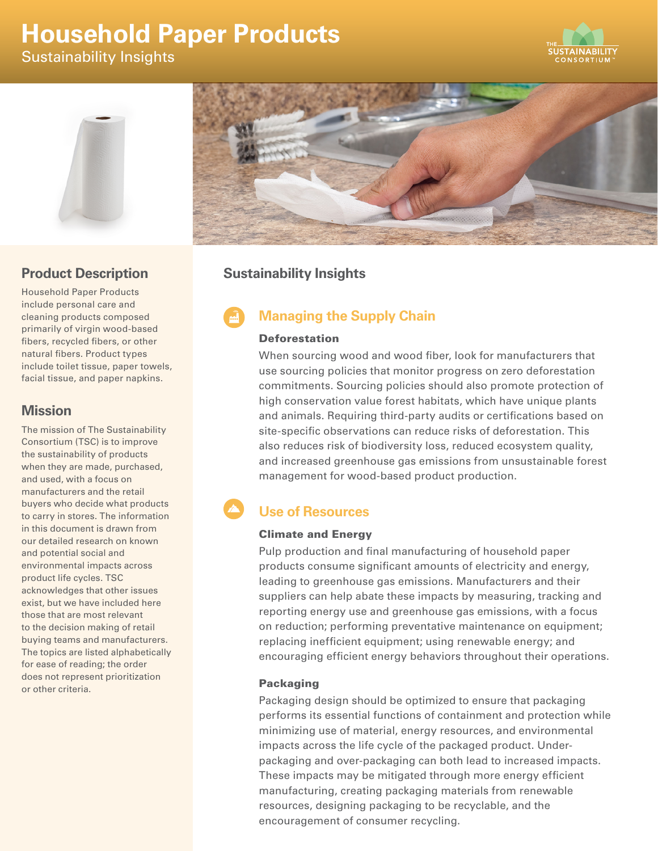# **Household Paper Products**

Sustainability Insights







# **Product Description**

Household Paper Products include personal care and cleaning products composed primarily of virgin wood-based fibers, recycled fibers, or other natural fibers. Product types include toilet tissue, paper towels, facial tissue, and paper napkins.

# **Mission**

The mission of The Sustainability Consortium (TSC) is to improve the sustainability of products when they are made, purchased, and used, with a focus on manufacturers and the retail buyers who decide what products to carry in stores. The information in this document is drawn from our detailed research on known and potential social and environmental impacts across product life cycles. TSC acknowledges that other issues exist, but we have included here those that are most relevant to the decision making of retail buying teams and manufacturers. The topics are listed alphabetically for ease of reading; the order does not represent prioritization or other criteria.

# **Sustainability Insights**

# **Managing the Supply Chain**

### Deforestation

When sourcing wood and wood fiber, look for manufacturers that use sourcing policies that monitor progress on zero deforestation commitments. Sourcing policies should also promote protection of high conservation value forest habitats, which have unique plants and animals. Requiring third-party audits or certifications based on site-specific observations can reduce risks of deforestation. This also reduces risk of biodiversity loss, reduced ecosystem quality, and increased greenhouse gas emissions from unsustainable forest management for wood-based product production.

#### A **Use of Resources**

### Climate and Energy

Pulp production and final manufacturing of household paper products consume significant amounts of electricity and energy, leading to greenhouse gas emissions. Manufacturers and their suppliers can help abate these impacts by measuring, tracking and reporting energy use and greenhouse gas emissions, with a focus on reduction; performing preventative maintenance on equipment; replacing inefficient equipment; using renewable energy; and encouraging efficient energy behaviors throughout their operations.

### Packaging

Packaging design should be optimized to ensure that packaging performs its essential functions of containment and protection while minimizing use of material, energy resources, and environmental impacts across the life cycle of the packaged product. Underpackaging and over-packaging can both lead to increased impacts. These impacts may be mitigated through more energy efficient manufacturing, creating packaging materials from renewable resources, designing packaging to be recyclable, and the encouragement of consumer recycling.